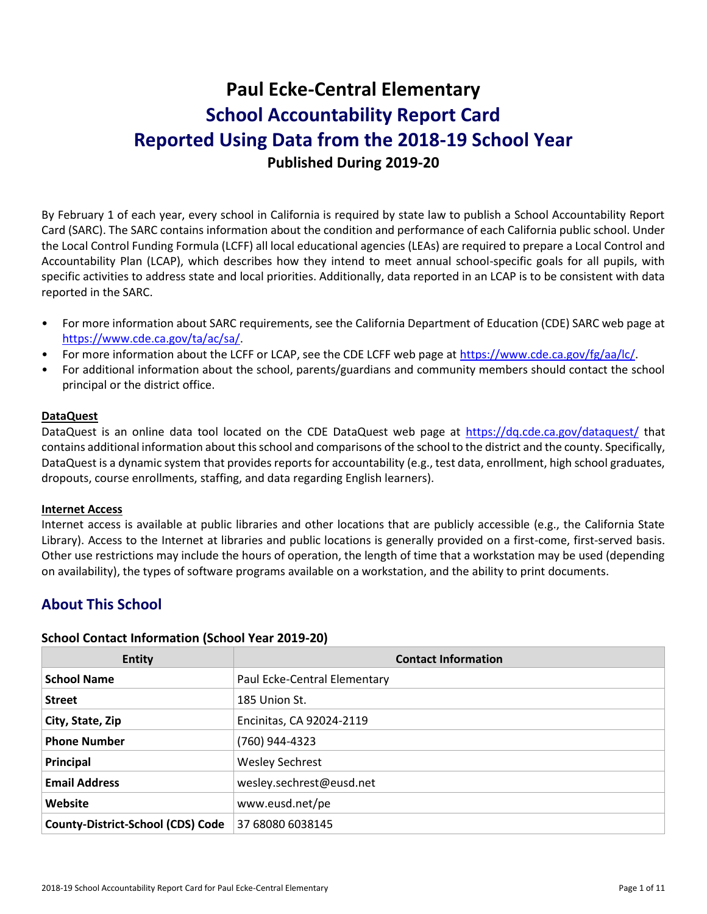# **Paul Ecke-Central Elementary School Accountability Report Card Reported Using Data from the 2018-19 School Year Published During 2019-20**

By February 1 of each year, every school in California is required by state law to publish a School Accountability Report Card (SARC). The SARC contains information about the condition and performance of each California public school. Under the Local Control Funding Formula (LCFF) all local educational agencies (LEAs) are required to prepare a Local Control and Accountability Plan (LCAP), which describes how they intend to meet annual school-specific goals for all pupils, with specific activities to address state and local priorities. Additionally, data reported in an LCAP is to be consistent with data reported in the SARC.

- For more information about SARC requirements, see the California Department of Education (CDE) SARC web page at [https://www.cde.ca.gov/ta/ac/sa/.](https://www.cde.ca.gov/ta/ac/sa/)
- For more information about the LCFF or LCAP, see the CDE LCFF web page at [https://www.cde.ca.gov/fg/aa/lc/.](https://www.cde.ca.gov/fg/aa/lc/)
- For additional information about the school, parents/guardians and community members should contact the school principal or the district office.

### **DataQuest**

DataQuest is an online data tool located on the CDE DataQuest web page at<https://dq.cde.ca.gov/dataquest/> that contains additional information about this school and comparisons of the school to the district and the county. Specifically, DataQuest is a dynamic system that provides reports for accountability (e.g., test data, enrollment, high school graduates, dropouts, course enrollments, staffing, and data regarding English learners).

### **Internet Access**

Internet access is available at public libraries and other locations that are publicly accessible (e.g., the California State Library). Access to the Internet at libraries and public locations is generally provided on a first-come, first-served basis. Other use restrictions may include the hours of operation, the length of time that a workstation may be used (depending on availability), the types of software programs available on a workstation, and the ability to print documents.

# **About This School**

### **School Contact Information (School Year 2019-20)**

| <b>Entity</b>                            | <b>Contact Information</b>   |
|------------------------------------------|------------------------------|
| <b>School Name</b>                       | Paul Ecke-Central Elementary |
| <b>Street</b>                            | 185 Union St.                |
| City, State, Zip                         | Encinitas, CA 92024-2119     |
| <b>Phone Number</b>                      | (760) 944-4323               |
| Principal                                | <b>Wesley Sechrest</b>       |
| <b>Email Address</b>                     | wesley.sechrest@eusd.net     |
| Website                                  | www.eusd.net/pe              |
| <b>County-District-School (CDS) Code</b> | 37 68080 6038145             |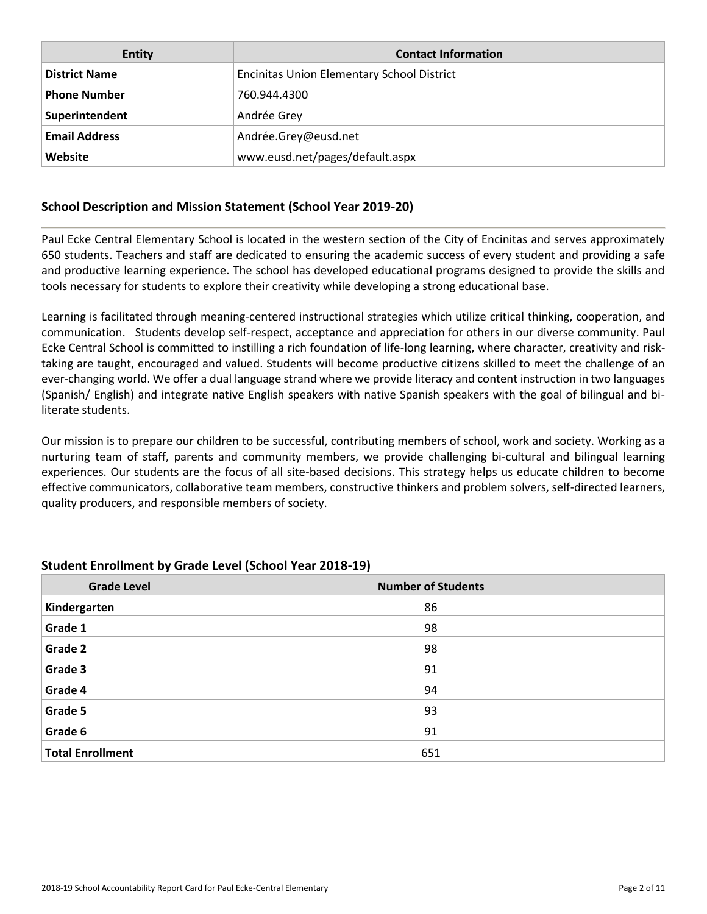| <b>Entity</b>        | <b>Contact Information</b>                        |
|----------------------|---------------------------------------------------|
| <b>District Name</b> | <b>Encinitas Union Elementary School District</b> |
| <b>Phone Number</b>  | 760.944.4300                                      |
| Superintendent       | Andrée Grey                                       |
| <b>Email Address</b> | Andrée.Grey@eusd.net                              |
| Website              | www.eusd.net/pages/default.aspx                   |

## **School Description and Mission Statement (School Year 2019-20)**

Paul Ecke Central Elementary School is located in the western section of the City of Encinitas and serves approximately 650 students. Teachers and staff are dedicated to ensuring the academic success of every student and providing a safe and productive learning experience. The school has developed educational programs designed to provide the skills and tools necessary for students to explore their creativity while developing a strong educational base.

Learning is facilitated through meaning-centered instructional strategies which utilize critical thinking, cooperation, and communication. Students develop self-respect, acceptance and appreciation for others in our diverse community. Paul Ecke Central School is committed to instilling a rich foundation of life-long learning, where character, creativity and risktaking are taught, encouraged and valued. Students will become productive citizens skilled to meet the challenge of an ever-changing world. We offer a dual language strand where we provide literacy and content instruction in two languages (Spanish/ English) and integrate native English speakers with native Spanish speakers with the goal of bilingual and biliterate students.

Our mission is to prepare our children to be successful, contributing members of school, work and society. Working as a nurturing team of staff, parents and community members, we provide challenging bi-cultural and bilingual learning experiences. Our students are the focus of all site-based decisions. This strategy helps us educate children to become effective communicators, collaborative team members, constructive thinkers and problem solvers, self-directed learners, quality producers, and responsible members of society.

| <b>Grade Level</b>      | <b>Number of Students</b> |
|-------------------------|---------------------------|
| Kindergarten            | 86                        |
| Grade 1                 | 98                        |
| Grade 2                 | 98                        |
| Grade 3                 | 91                        |
| Grade 4                 | 94                        |
| Grade 5                 | 93                        |
| Grade 6                 | 91                        |
| <b>Total Enrollment</b> | 651                       |

### **Student Enrollment by Grade Level (School Year 2018-19)**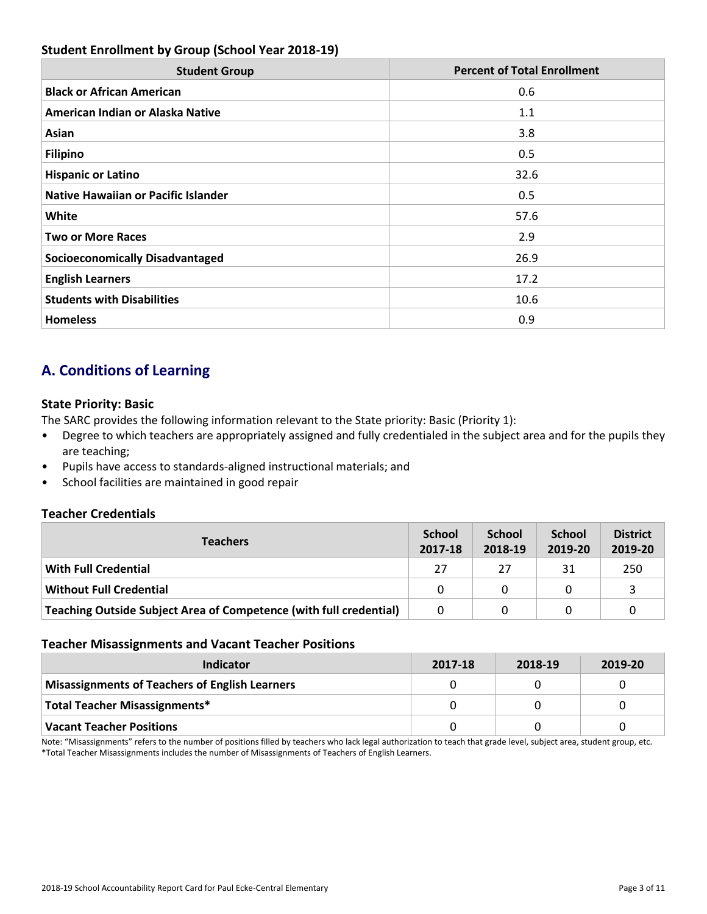# **Student Enrollment by Group (School Year 2018-19)**

| <b>Student Group</b>                       | <b>Percent of Total Enrollment</b> |
|--------------------------------------------|------------------------------------|
| <b>Black or African American</b>           | 0.6                                |
| American Indian or Alaska Native           | 1.1                                |
| Asian                                      | 3.8                                |
| <b>Filipino</b>                            | 0.5                                |
| <b>Hispanic or Latino</b>                  | 32.6                               |
| <b>Native Hawaiian or Pacific Islander</b> | 0.5                                |
| White                                      | 57.6                               |
| <b>Two or More Races</b>                   | 2.9                                |
| <b>Socioeconomically Disadvantaged</b>     | 26.9                               |
| <b>English Learners</b>                    | 17.2                               |
| <b>Students with Disabilities</b>          | 10.6                               |
| <b>Homeless</b>                            | 0.9                                |

# **A. Conditions of Learning**

## **State Priority: Basic**

The SARC provides the following information relevant to the State priority: Basic (Priority 1):

- Degree to which teachers are appropriately assigned and fully credentialed in the subject area and for the pupils they are teaching;
- Pupils have access to standards-aligned instructional materials; and
- School facilities are maintained in good repair

## **Teacher Credentials**

| <b>Teachers</b>                                                    | <b>School</b><br>2017-18 | <b>School</b><br>2018-19 | <b>School</b><br>2019-20 | <b>District</b><br>2019-20 |
|--------------------------------------------------------------------|--------------------------|--------------------------|--------------------------|----------------------------|
| With Full Credential                                               | 27                       | 27                       | 31                       | 250                        |
| <b>Without Full Credential</b>                                     | 0                        | 0                        |                          |                            |
| Teaching Outside Subject Area of Competence (with full credential) | 0                        |                          |                          |                            |

### **Teacher Misassignments and Vacant Teacher Positions**

| Indicator                                             | 2017-18 | 2018-19 | 2019-20 |
|-------------------------------------------------------|---------|---------|---------|
| <b>Misassignments of Teachers of English Learners</b> |         |         |         |
| <b>Total Teacher Misassignments*</b>                  |         |         |         |
| <b>Vacant Teacher Positions</b>                       |         |         |         |

Note: "Misassignments" refers to the number of positions filled by teachers who lack legal authorization to teach that grade level, subject area, student group, etc. \*Total Teacher Misassignments includes the number of Misassignments of Teachers of English Learners.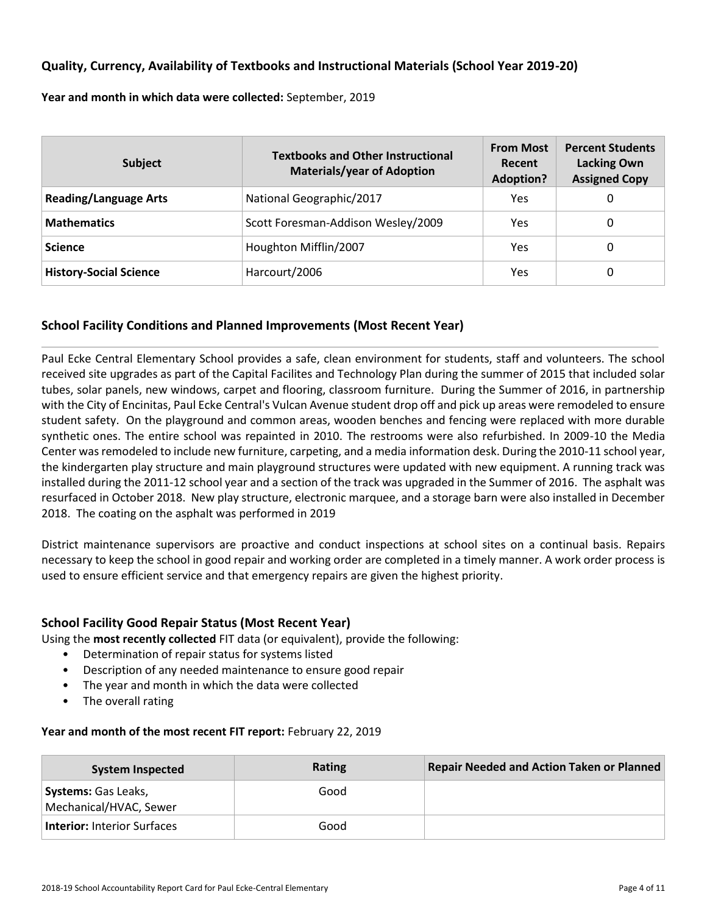### **Quality, Currency, Availability of Textbooks and Instructional Materials (School Year 2019-20)**

**Year and month in which data were collected:** September, 2019

| <b>Subject</b>                | <b>Textbooks and Other Instructional</b><br><b>Materials/year of Adoption</b> | <b>From Most</b><br>Recent<br><b>Adoption?</b> | <b>Percent Students</b><br><b>Lacking Own</b><br><b>Assigned Copy</b> |
|-------------------------------|-------------------------------------------------------------------------------|------------------------------------------------|-----------------------------------------------------------------------|
| <b>Reading/Language Arts</b>  | National Geographic/2017                                                      | Yes                                            | 0                                                                     |
| <b>Mathematics</b>            | Scott Foresman-Addison Wesley/2009                                            | Yes                                            | 0                                                                     |
| <b>Science</b>                | Houghton Mifflin/2007                                                         | Yes                                            | 0                                                                     |
| <b>History-Social Science</b> | Harcourt/2006                                                                 | Yes                                            | 0                                                                     |

### **School Facility Conditions and Planned Improvements (Most Recent Year)**

Paul Ecke Central Elementary School provides a safe, clean environment for students, staff and volunteers. The school received site upgrades as part of the Capital Facilites and Technology Plan during the summer of 2015 that included solar tubes, solar panels, new windows, carpet and flooring, classroom furniture. During the Summer of 2016, in partnership with the City of Encinitas, Paul Ecke Central's Vulcan Avenue student drop off and pick up areas were remodeled to ensure student safety. On the playground and common areas, wooden benches and fencing were replaced with more durable synthetic ones. The entire school was repainted in 2010. The restrooms were also refurbished. In 2009-10 the Media Center was remodeled to include new furniture, carpeting, and a media information desk. During the 2010-11 school year, the kindergarten play structure and main playground structures were updated with new equipment. A running track was installed during the 2011-12 school year and a section of the track was upgraded in the Summer of 2016. The asphalt was resurfaced in October 2018. New play structure, electronic marquee, and a storage barn were also installed in December 2018. The coating on the asphalt was performed in 2019

District maintenance supervisors are proactive and conduct inspections at school sites on a continual basis. Repairs necessary to keep the school in good repair and working order are completed in a timely manner. A work order process is used to ensure efficient service and that emergency repairs are given the highest priority.

### **School Facility Good Repair Status (Most Recent Year)**

Using the **most recently collected** FIT data (or equivalent), provide the following:

- Determination of repair status for systems listed
- Description of any needed maintenance to ensure good repair
- The year and month in which the data were collected
- The overall rating

### **Year and month of the most recent FIT report:** February 22, 2019

| <b>System Inspected</b>                              | Rating | <b>Repair Needed and Action Taken or Planned</b> |
|------------------------------------------------------|--------|--------------------------------------------------|
| <b>Systems:</b> Gas Leaks,<br>Mechanical/HVAC, Sewer | Good   |                                                  |
| <b>Interior: Interior Surfaces</b>                   | Good   |                                                  |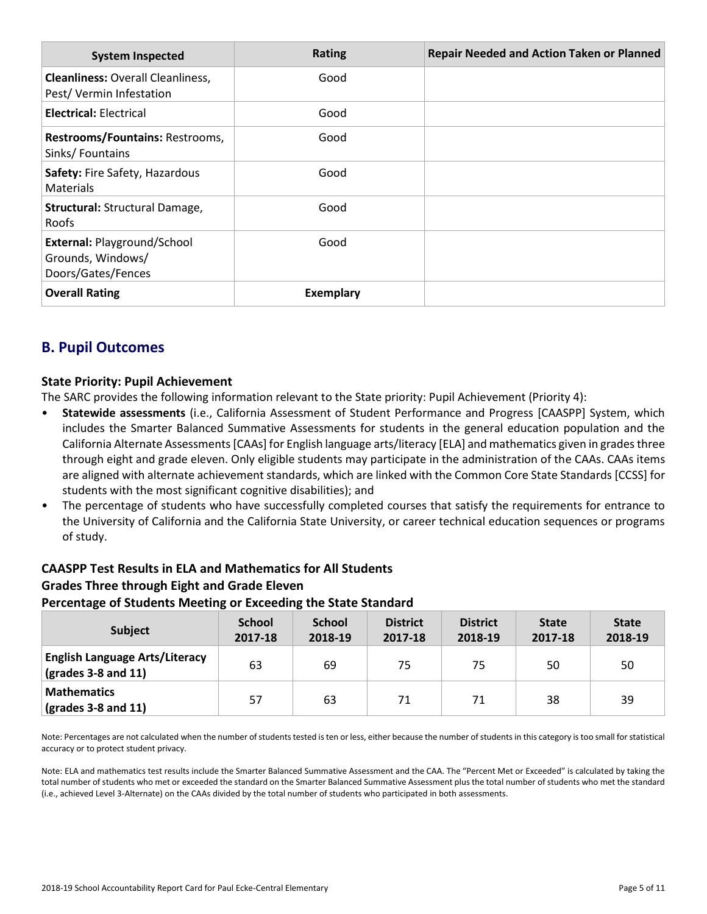| <b>System Inspected</b>                                                       | <b>Rating</b>    | <b>Repair Needed and Action Taken or Planned</b> |
|-------------------------------------------------------------------------------|------------------|--------------------------------------------------|
| <b>Cleanliness: Overall Cleanliness,</b><br>Pest/Vermin Infestation           | Good             |                                                  |
| <b>Electrical: Electrical</b>                                                 | Good             |                                                  |
| Restrooms/Fountains: Restrooms,<br>Sinks/Fountains                            | Good             |                                                  |
| Safety: Fire Safety, Hazardous<br><b>Materials</b>                            | Good             |                                                  |
| <b>Structural: Structural Damage,</b><br>Roofs                                | Good             |                                                  |
| <b>External: Playground/School</b><br>Grounds, Windows/<br>Doors/Gates/Fences | Good             |                                                  |
| <b>Overall Rating</b>                                                         | <b>Exemplary</b> |                                                  |

# **B. Pupil Outcomes**

## **State Priority: Pupil Achievement**

The SARC provides the following information relevant to the State priority: Pupil Achievement (Priority 4):

- **Statewide assessments** (i.e., California Assessment of Student Performance and Progress [CAASPP] System, which includes the Smarter Balanced Summative Assessments for students in the general education population and the California Alternate Assessments [CAAs] for English language arts/literacy [ELA] and mathematics given in grades three through eight and grade eleven. Only eligible students may participate in the administration of the CAAs. CAAs items are aligned with alternate achievement standards, which are linked with the Common Core State Standards [CCSS] for students with the most significant cognitive disabilities); and
- The percentage of students who have successfully completed courses that satisfy the requirements for entrance to the University of California and the California State University, or career technical education sequences or programs of study.

# **CAASPP Test Results in ELA and Mathematics for All Students Grades Three through Eight and Grade Eleven Percentage of Students Meeting or Exceeding the State Standard**

| <b>Subject</b>                                                                | <b>School</b><br>2017-18 | <b>School</b><br>2018-19 | <b>District</b><br>2017-18 | <b>District</b><br>2018-19 | <b>State</b><br>2017-18 | <b>State</b><br>2018-19 |
|-------------------------------------------------------------------------------|--------------------------|--------------------------|----------------------------|----------------------------|-------------------------|-------------------------|
| <b>English Language Arts/Literacy</b><br>$\left($ grades 3-8 and 11 $\right)$ | 63                       | 69                       | 75                         | 75                         | 50                      | 50                      |
| <b>Mathematics</b><br>$\left($ grades 3-8 and 11 $\right)$                    | 57                       | 63                       | 71                         | 71                         | 38                      | 39                      |

Note: Percentages are not calculated when the number of students tested is ten or less, either because the number of students in this category is too small for statistical accuracy or to protect student privacy.

Note: ELA and mathematics test results include the Smarter Balanced Summative Assessment and the CAA. The "Percent Met or Exceeded" is calculated by taking the total number of students who met or exceeded the standard on the Smarter Balanced Summative Assessment plus the total number of students who met the standard (i.e., achieved Level 3-Alternate) on the CAAs divided by the total number of students who participated in both assessments.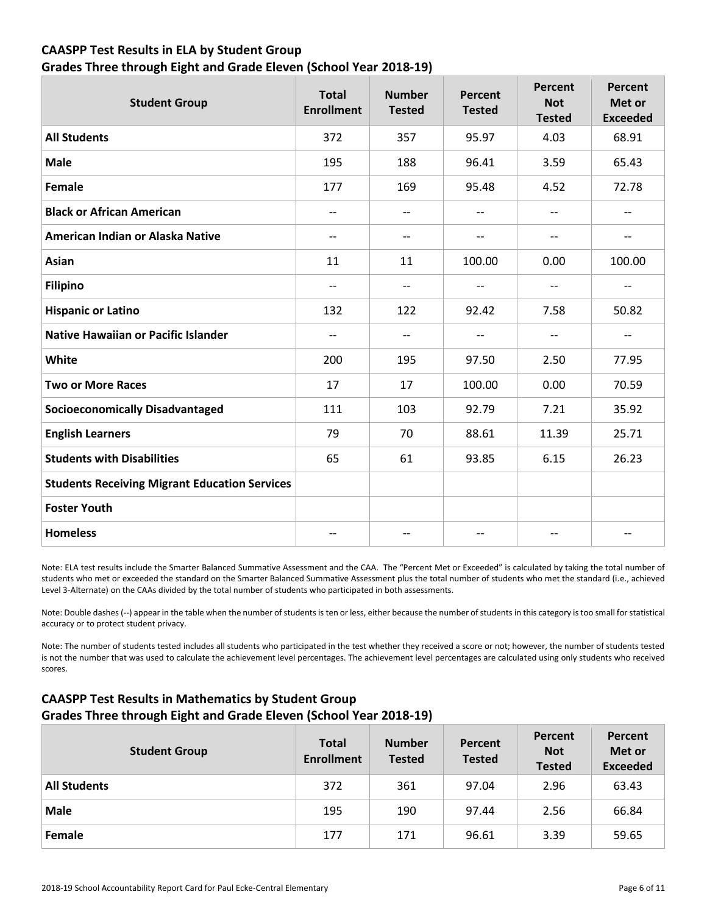# **CAASPP Test Results in ELA by Student Group**

# **Grades Three through Eight and Grade Eleven (School Year 2018-19)**

| <b>Student Group</b>                                 | <b>Total</b><br><b>Enrollment</b> | <b>Number</b><br><b>Tested</b> | <b>Percent</b><br><b>Tested</b> | Percent<br><b>Not</b><br><b>Tested</b> | Percent<br>Met or<br><b>Exceeded</b> |
|------------------------------------------------------|-----------------------------------|--------------------------------|---------------------------------|----------------------------------------|--------------------------------------|
| <b>All Students</b>                                  | 372                               | 357                            | 95.97                           | 4.03                                   | 68.91                                |
| <b>Male</b>                                          | 195                               | 188                            | 96.41                           | 3.59                                   | 65.43                                |
| <b>Female</b>                                        | 177                               | 169                            | 95.48                           | 4.52                                   | 72.78                                |
| <b>Black or African American</b>                     | $\overline{\phantom{a}}$          | $- -$                          | $\overline{\phantom{a}}$        | $-$                                    | $\qquad \qquad -$                    |
| American Indian or Alaska Native                     | $\qquad \qquad -$                 |                                | $\overline{\phantom{m}}$        | $- -$                                  | $\qquad \qquad -$                    |
| Asian                                                | 11                                | 11                             | 100.00                          | 0.00                                   | 100.00                               |
| <b>Filipino</b>                                      | $\qquad \qquad -$                 | $\overline{a}$                 | $\qquad \qquad -$               | $\overline{\phantom{a}}$               | $\qquad \qquad -$                    |
| <b>Hispanic or Latino</b>                            | 132                               | 122                            | 92.42                           | 7.58                                   | 50.82                                |
| <b>Native Hawaiian or Pacific Islander</b>           | $\qquad \qquad -$                 | $\overline{\phantom{a}}$       | --                              | $- -$                                  | --                                   |
| White                                                | 200                               | 195                            | 97.50                           | 2.50                                   | 77.95                                |
| <b>Two or More Races</b>                             | 17                                | 17                             | 100.00                          | 0.00                                   | 70.59                                |
| <b>Socioeconomically Disadvantaged</b>               | 111                               | 103                            | 92.79                           | 7.21                                   | 35.92                                |
| <b>English Learners</b>                              | 79                                | 70                             | 88.61                           | 11.39                                  | 25.71                                |
| <b>Students with Disabilities</b>                    | 65                                | 61                             | 93.85                           | 6.15                                   | 26.23                                |
| <b>Students Receiving Migrant Education Services</b> |                                   |                                |                                 |                                        |                                      |
| <b>Foster Youth</b>                                  |                                   |                                |                                 |                                        |                                      |
| <b>Homeless</b>                                      | $-$                               | $-$                            | $\qquad \qquad -$               | $-$                                    | $-$                                  |

Note: ELA test results include the Smarter Balanced Summative Assessment and the CAA. The "Percent Met or Exceeded" is calculated by taking the total number of students who met or exceeded the standard on the Smarter Balanced Summative Assessment plus the total number of students who met the standard (i.e., achieved Level 3-Alternate) on the CAAs divided by the total number of students who participated in both assessments.

Note: Double dashes (--) appear in the table when the number of students is ten or less, either because the number of students in this category is too small for statistical accuracy or to protect student privacy.

Note: The number of students tested includes all students who participated in the test whether they received a score or not; however, the number of students tested is not the number that was used to calculate the achievement level percentages. The achievement level percentages are calculated using only students who received scores.

# **CAASPP Test Results in Mathematics by Student Group Grades Three through Eight and Grade Eleven (School Year 2018-19)**

| <b>Student Group</b> | <b>Total</b><br><b>Enrollment</b> | <b>Number</b><br><b>Tested</b> | Percent<br><b>Tested</b> | Percent<br><b>Not</b><br><b>Tested</b> | Percent<br>Met or<br><b>Exceeded</b> |
|----------------------|-----------------------------------|--------------------------------|--------------------------|----------------------------------------|--------------------------------------|
| <b>All Students</b>  | 372                               | 361                            | 97.04                    | 2.96                                   | 63.43                                |
| <b>Male</b>          | 195                               | 190                            | 97.44                    | 2.56                                   | 66.84                                |
| Female               | 177                               | 171                            | 96.61                    | 3.39                                   | 59.65                                |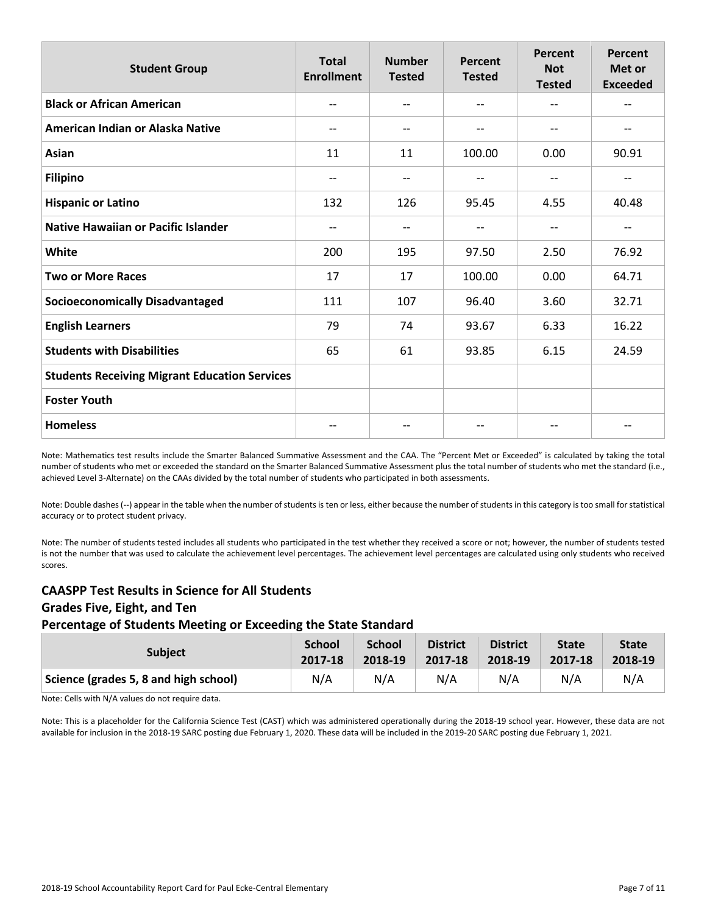| <b>Student Group</b>                                 | <b>Total</b><br><b>Enrollment</b> | <b>Number</b><br><b>Tested</b> | Percent<br><b>Tested</b> | Percent<br><b>Not</b><br><b>Tested</b> | Percent<br>Met or<br><b>Exceeded</b> |
|------------------------------------------------------|-----------------------------------|--------------------------------|--------------------------|----------------------------------------|--------------------------------------|
| <b>Black or African American</b>                     | $-$                               | --                             | $-$                      | $-$                                    | $-$                                  |
| American Indian or Alaska Native                     | $\qquad \qquad -$                 | $- -$                          | $\qquad \qquad -$        | $\overline{\phantom{a}}$               | --                                   |
| Asian                                                | 11                                | 11                             | 100.00                   | 0.00                                   | 90.91                                |
| <b>Filipino</b>                                      | $-$                               | --                             | $\overline{\phantom{a}}$ | $-$                                    | $-$                                  |
| <b>Hispanic or Latino</b>                            | 132                               | 126                            | 95.45                    | 4.55                                   | 40.48                                |
| <b>Native Hawaiian or Pacific Islander</b>           | --                                | --                             | $\qquad \qquad -$        | $-$                                    | --                                   |
| White                                                | 200                               | 195                            | 97.50                    | 2.50                                   | 76.92                                |
| <b>Two or More Races</b>                             | 17                                | 17                             | 100.00                   | 0.00                                   | 64.71                                |
| <b>Socioeconomically Disadvantaged</b>               | 111                               | 107                            | 96.40                    | 3.60                                   | 32.71                                |
| <b>English Learners</b>                              | 79                                | 74                             | 93.67                    | 6.33                                   | 16.22                                |
| <b>Students with Disabilities</b>                    | 65                                | 61                             | 93.85                    | 6.15                                   | 24.59                                |
| <b>Students Receiving Migrant Education Services</b> |                                   |                                |                          |                                        |                                      |
| <b>Foster Youth</b>                                  |                                   |                                |                          |                                        |                                      |
| <b>Homeless</b>                                      |                                   |                                | --                       |                                        |                                      |

Note: Mathematics test results include the Smarter Balanced Summative Assessment and the CAA. The "Percent Met or Exceeded" is calculated by taking the total number of students who met or exceeded the standard on the Smarter Balanced Summative Assessment plus the total number of students who met the standard (i.e., achieved Level 3-Alternate) on the CAAs divided by the total number of students who participated in both assessments.

Note: Double dashes (--) appear in the table when the number of students is ten or less, either because the number of students in this category is too small for statistical accuracy or to protect student privacy.

Note: The number of students tested includes all students who participated in the test whether they received a score or not; however, the number of students tested is not the number that was used to calculate the achievement level percentages. The achievement level percentages are calculated using only students who received scores.

## **CAASPP Test Results in Science for All Students Grades Five, Eight, and Ten Percentage of Students Meeting or Exceeding the State Standard**

| <b>Subject</b>                        | <b>School</b> | <b>School</b> | <b>District</b> | <b>District</b> | <b>State</b> | <b>State</b> |
|---------------------------------------|---------------|---------------|-----------------|-----------------|--------------|--------------|
|                                       | 2017-18       | 2018-19       | 2017-18         | 2018-19         | 2017-18      | 2018-19      |
| Science (grades 5, 8 and high school) | N/A           | N/A           | N/A             | N/A             | N/A          | N/A          |

Note: Cells with N/A values do not require data.

Note: This is a placeholder for the California Science Test (CAST) which was administered operationally during the 2018-19 school year. However, these data are not available for inclusion in the 2018-19 SARC posting due February 1, 2020. These data will be included in the 2019-20 SARC posting due February 1, 2021.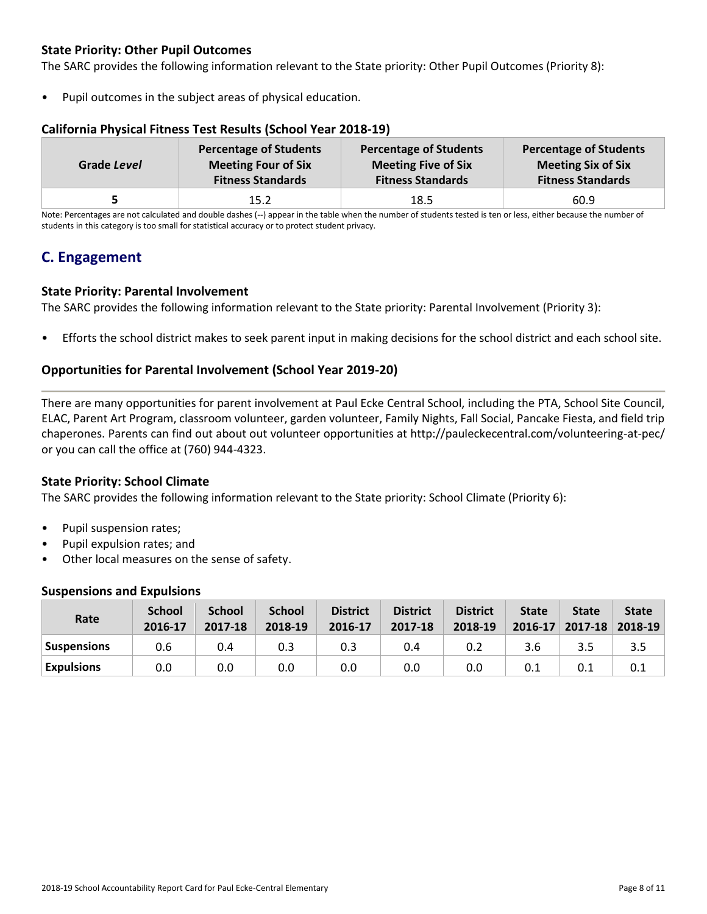# **State Priority: Other Pupil Outcomes**

The SARC provides the following information relevant to the State priority: Other Pupil Outcomes (Priority 8):

Pupil outcomes in the subject areas of physical education.

### **California Physical Fitness Test Results (School Year 2018-19)**

| Grade Level | <b>Percentage of Students</b> | <b>Percentage of Students</b> | <b>Percentage of Students</b> |
|-------------|-------------------------------|-------------------------------|-------------------------------|
|             | <b>Meeting Four of Six</b>    | <b>Meeting Five of Six</b>    | <b>Meeting Six of Six</b>     |
|             | <b>Fitness Standards</b>      | <b>Fitness Standards</b>      | <b>Fitness Standards</b>      |
|             | 15.2                          | 18.5                          | 60.9                          |

Note: Percentages are not calculated and double dashes (--) appear in the table when the number of students tested is ten or less, either because the number of students in this category is too small for statistical accuracy or to protect student privacy.

# **C. Engagement**

### **State Priority: Parental Involvement**

The SARC provides the following information relevant to the State priority: Parental Involvement (Priority 3):

• Efforts the school district makes to seek parent input in making decisions for the school district and each school site.

### **Opportunities for Parental Involvement (School Year 2019-20)**

There are many opportunities for parent involvement at Paul Ecke Central School, including the PTA, School Site Council, ELAC, Parent Art Program, classroom volunteer, garden volunteer, Family Nights, Fall Social, Pancake Fiesta, and field trip chaperones. Parents can find out about out volunteer opportunities at http://pauleckecentral.com/volunteering-at-pec/ or you can call the office at (760) 944-4323.

### **State Priority: School Climate**

The SARC provides the following information relevant to the State priority: School Climate (Priority 6):

- Pupil suspension rates;
- Pupil expulsion rates; and
- Other local measures on the sense of safety.

### **Suspensions and Expulsions**

| Rate               | <b>School</b><br>2016-17 | <b>School</b><br>2017-18 | <b>School</b><br>2018-19 | <b>District</b><br>2016-17 | <b>District</b><br>2017-18 | <b>District</b><br>2018-19 | <b>State</b><br>2016-17 | <b>State</b> | <b>State</b><br>$2017 - 18$ 2018-19 |
|--------------------|--------------------------|--------------------------|--------------------------|----------------------------|----------------------------|----------------------------|-------------------------|--------------|-------------------------------------|
| <b>Suspensions</b> | 0.6                      | 0.4                      | 0.3                      | 0.3                        | 0.4                        | 0.2                        | 3.6                     | 3.5          | 3.5                                 |
| <b>Expulsions</b>  | 0.0                      | 0.0                      | 0.0                      | 0.0                        | 0.0                        | 0.0                        | 0.1                     |              | 0.1                                 |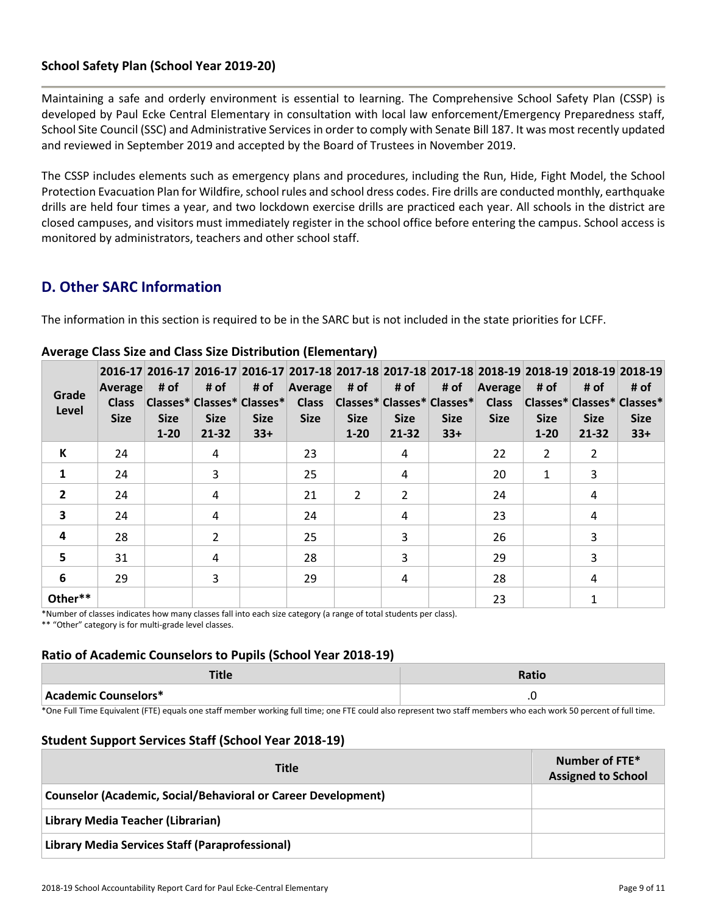## **School Safety Plan (School Year 2019-20)**

Maintaining a safe and orderly environment is essential to learning. The Comprehensive School Safety Plan (CSSP) is developed by Paul Ecke Central Elementary in consultation with local law enforcement/Emergency Preparedness staff, School Site Council (SSC) and Administrative Services in order to comply with Senate Bill 187. It was most recently updated and reviewed in September 2019 and accepted by the Board of Trustees in November 2019.

The CSSP includes elements such as emergency plans and procedures, including the Run, Hide, Fight Model, the School Protection Evacuation Plan for Wildfire, school rules and school dress codes. Fire drills are conducted monthly, earthquake drills are held four times a year, and two lockdown exercise drills are practiced each year. All schools in the district are closed campuses, and visitors must immediately register in the school office before entering the campus. School access is monitored by administrators, teachers and other school staff.

# **D. Other SARC Information**

The information in this section is required to be in the SARC but is not included in the state priorities for LCFF.

| Grade<br>Level          | Average<br><b>Class</b><br><b>Size</b> | # of<br><b>Size</b><br>$1 - 20$ | # of<br><b>Size</b><br>21-32 | 2016-17 2016-17 2016-17 2016-17 2017-18 2017-18 2017-18 2017-18 2017-18 2018-19 2018-19 2018-19 2018-19<br># of<br>Classes* Classes* Classes*<br><b>Size</b><br>$33+$ | <b>Average</b><br><b>Class</b><br><b>Size</b> | # of<br><b>Size</b><br>$1 - 20$ | # of<br> Classes* Classes* Classes* <br><b>Size</b><br>$21 - 32$ | # of<br><b>Size</b><br>$33+$ | Average<br><b>Class</b><br><b>Size</b> | # of<br> Classes* Classes* Classes*<br><b>Size</b><br>$1 - 20$ | # of<br><b>Size</b><br>$21 - 32$ | # of<br><b>Size</b><br>$33+$ |
|-------------------------|----------------------------------------|---------------------------------|------------------------------|-----------------------------------------------------------------------------------------------------------------------------------------------------------------------|-----------------------------------------------|---------------------------------|------------------------------------------------------------------|------------------------------|----------------------------------------|----------------------------------------------------------------|----------------------------------|------------------------------|
| K                       | 24                                     |                                 | 4                            |                                                                                                                                                                       | 23                                            |                                 | 4                                                                |                              | 22                                     | $\mathcal{P}$                                                  | 2                                |                              |
| $\mathbf{1}$            | 24                                     |                                 | 3                            |                                                                                                                                                                       | 25                                            |                                 | 4                                                                |                              | 20                                     | 1                                                              | 3                                |                              |
| $\overline{2}$          | 24                                     |                                 | 4                            |                                                                                                                                                                       | 21                                            | $\mathcal{L}$                   | $\mathcal{P}$                                                    |                              | 24                                     |                                                                | 4                                |                              |
| $\overline{\mathbf{3}}$ | 24                                     |                                 | 4                            |                                                                                                                                                                       | 24                                            |                                 | 4                                                                |                              | 23                                     |                                                                | 4                                |                              |
| 4                       | 28                                     |                                 | $\overline{2}$               |                                                                                                                                                                       | 25                                            |                                 | 3                                                                |                              | 26                                     |                                                                | 3                                |                              |
| 5                       | 31                                     |                                 | 4                            |                                                                                                                                                                       | 28                                            |                                 | 3                                                                |                              | 29                                     |                                                                | 3                                |                              |
| 6                       | 29                                     |                                 | 3                            |                                                                                                                                                                       | 29                                            |                                 | 4                                                                |                              | 28                                     |                                                                | 4                                |                              |
| Other**                 |                                        |                                 |                              |                                                                                                                                                                       |                                               |                                 |                                                                  |                              | 23                                     |                                                                | 1                                |                              |

### **Average Class Size and Class Size Distribution (Elementary)**

\*Number of classes indicates how many classes fall into each size category (a range of total students per class).

\*\* "Other" category is for multi-grade level classes.

### **Ratio of Academic Counselors to Pupils (School Year 2018-19)**

| TH.<br>ние           | <b>Ratio</b> |
|----------------------|--------------|
| Academic Counselors* | $\cdot$      |

\*One Full Time Equivalent (FTE) equals one staff member working full time; one FTE could also represent two staff members who each work 50 percent of full time.

## **Student Support Services Staff (School Year 2018-19)**

| <b>Title</b>                                                         | Number of FTE*<br><b>Assigned to School</b> |
|----------------------------------------------------------------------|---------------------------------------------|
| <b>Counselor (Academic, Social/Behavioral or Career Development)</b> |                                             |
| Library Media Teacher (Librarian)                                    |                                             |
| <b>Library Media Services Staff (Paraprofessional)</b>               |                                             |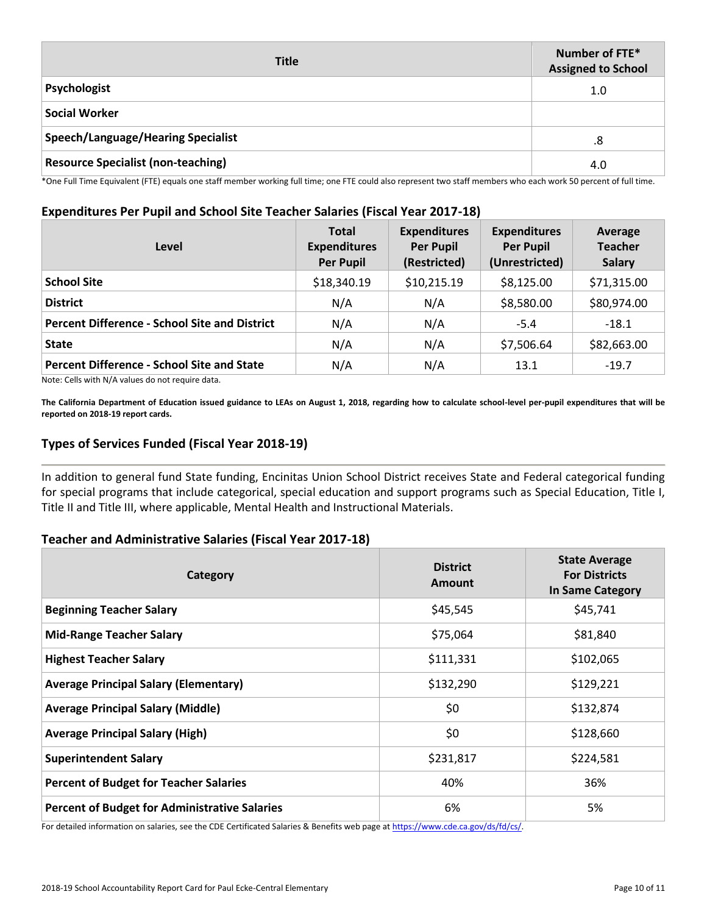| <b>Title</b>                              | Number of FTE*<br><b>Assigned to School</b> |
|-------------------------------------------|---------------------------------------------|
| Psychologist                              | 1.0                                         |
| <b>Social Worker</b>                      |                                             |
| <b>Speech/Language/Hearing Specialist</b> | .8                                          |
| Resource Specialist (non-teaching)        | 4.0                                         |

\*One Full Time Equivalent (FTE) equals one staff member working full time; one FTE could also represent two staff members who each work 50 percent of full time.

#### **Expenditures Per Pupil and School Site Teacher Salaries (Fiscal Year 2017-18)**

| Level                                                | <b>Total</b><br><b>Expenditures</b><br><b>Per Pupil</b> | <b>Expenditures</b><br><b>Per Pupil</b><br>(Restricted) | <b>Expenditures</b><br><b>Per Pupil</b><br>(Unrestricted) | Average<br><b>Teacher</b><br><b>Salary</b> |
|------------------------------------------------------|---------------------------------------------------------|---------------------------------------------------------|-----------------------------------------------------------|--------------------------------------------|
| <b>School Site</b>                                   | \$18,340.19                                             | \$10,215.19                                             | \$8,125.00                                                | \$71,315.00                                |
| <b>District</b>                                      | N/A                                                     | N/A                                                     | \$8,580.00                                                | \$80,974.00                                |
| <b>Percent Difference - School Site and District</b> | N/A                                                     | N/A                                                     | $-5.4$                                                    | $-18.1$                                    |
| <b>State</b>                                         | N/A                                                     | N/A                                                     | \$7,506.64                                                | \$82,663.00                                |
| <b>Percent Difference - School Site and State</b>    | N/A                                                     | N/A                                                     | 13.1                                                      | $-19.7$                                    |

Note: Cells with N/A values do not require data.

**The California Department of Education issued guidance to LEAs on August 1, 2018, regarding how to calculate school-level per-pupil expenditures that will be reported on 2018-19 report cards.**

### **Types of Services Funded (Fiscal Year 2018-19)**

In addition to general fund State funding, Encinitas Union School District receives State and Federal categorical funding for special programs that include categorical, special education and support programs such as Special Education, Title I, Title II and Title III, where applicable, Mental Health and Instructional Materials.

### **Teacher and Administrative Salaries (Fiscal Year 2017-18)**

| Category                                             | <b>District</b><br><b>Amount</b> | <b>State Average</b><br><b>For Districts</b><br><b>In Same Category</b> |
|------------------------------------------------------|----------------------------------|-------------------------------------------------------------------------|
| <b>Beginning Teacher Salary</b>                      | \$45,545                         | \$45,741                                                                |
| <b>Mid-Range Teacher Salary</b>                      | \$75,064                         | \$81,840                                                                |
| <b>Highest Teacher Salary</b>                        | \$111,331                        | \$102,065                                                               |
| <b>Average Principal Salary (Elementary)</b>         | \$132,290                        | \$129,221                                                               |
| <b>Average Principal Salary (Middle)</b>             | \$0                              | \$132,874                                                               |
| <b>Average Principal Salary (High)</b>               | \$0                              | \$128,660                                                               |
| <b>Superintendent Salary</b>                         | \$231,817                        | \$224,581                                                               |
| <b>Percent of Budget for Teacher Salaries</b>        | 40%                              | 36%                                                                     |
| <b>Percent of Budget for Administrative Salaries</b> | 6%                               | 5%                                                                      |

For detailed information on salaries, see the CDE Certificated Salaries & Benefits web page at https://www.cde.ca.gov/ds/fd/cs/.